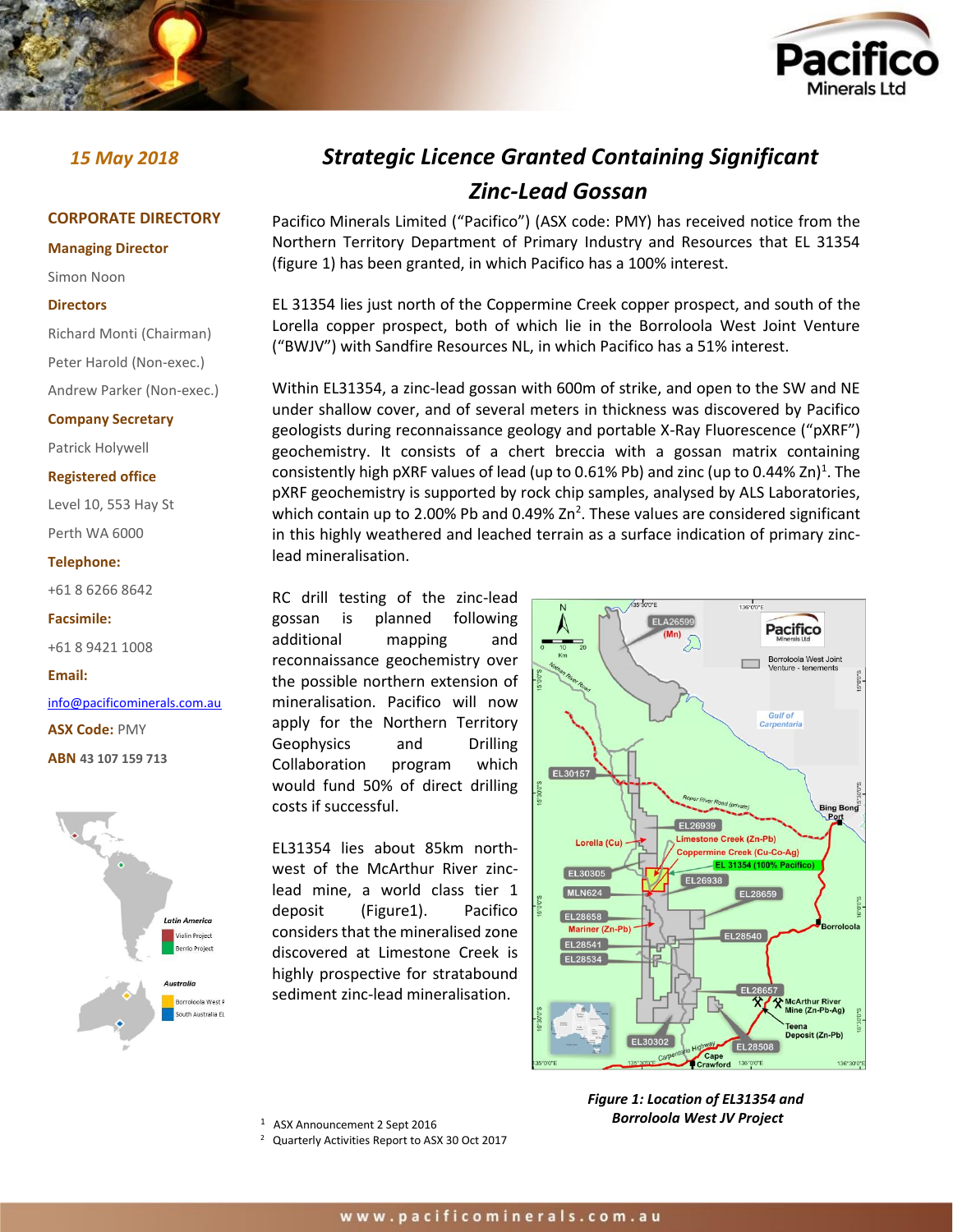

## **CORPORATE DIRECTORY**

## **Managing Director**

Simon Noon

## **Directors**

Richard Monti (Chairman)

Peter Harold (Non-exec.)

Andrew Parker (Non-exec.)

## **Company Secretary**

Patrick Holywell

## **Registered office**

Level 10, 553 Hay St Perth WA 6000

## **Telephone:**

+61 8 6266 8642

#### **Facsimile:**

+61 8 9421 1008

## **Email:**

[info@pacificominerals.com.au](mailto:info@pacificominerals.com.au)

**ASX Code:** PMY

**ABN 43 107 159 713**



# *15 May 2018 Strategic Licence Granted Containing Significant Zinc-Lead Gossan*

Pacifico Minerals Limited ("Pacifico") (ASX code: PMY) has received notice from the Northern Territory Department of Primary Industry and Resources that EL 31354 (figure 1) has been granted, in which Pacifico has a 100% interest.

EL 31354 lies just north of the Coppermine Creek copper prospect, and south of the Lorella copper prospect, both of which lie in the Borroloola West Joint Venture ("BWJV") with Sandfire Resources NL, in which Pacifico has a 51% interest.

Within EL31354, a zinc-lead gossan with 600m of strike, and open to the SW and NE under shallow cover, and of several meters in thickness was discovered by Pacifico geologists during reconnaissance geology and portable X-Ray Fluorescence ("pXRF") geochemistry. It consists of a chert breccia with a gossan matrix containing consistently high pXRF values of lead (up to 0.61% Pb) and zinc (up to 0.44% Zn)<sup>1</sup>. The pXRF geochemistry is supported by rock chip samples, analysed by ALS Laboratories, which contain up to 2.00% Pb and 0.49%  $Zn^2$ . These values are considered significant in this highly weathered and leached terrain as a surface indication of primary zinclead mineralisation.

RC drill testing of the zinc-lead gossan is planned following additional mapping and reconnaissance geochemistry over the possible northern extension of mineralisation. Pacifico will now apply for the Northern Territory Geophysics and Drilling Collaboration program which would fund 50% of direct drilling costs if successful.

EL31354 lies about 85km northwest of the McArthur River zinclead mine, a world class tier 1 deposit (Figure1). Pacifico considers that the mineralised zone discovered at Limestone Creek is highly prospective for stratabound sediment zinc-lead mineralisation.



1 ASX Announcement 2 Sept 2016

2 Quarterly Activities Report to ASX 30 Oct 2017

*Figure 1: Location of EL31354 and Borroloola West JV Project*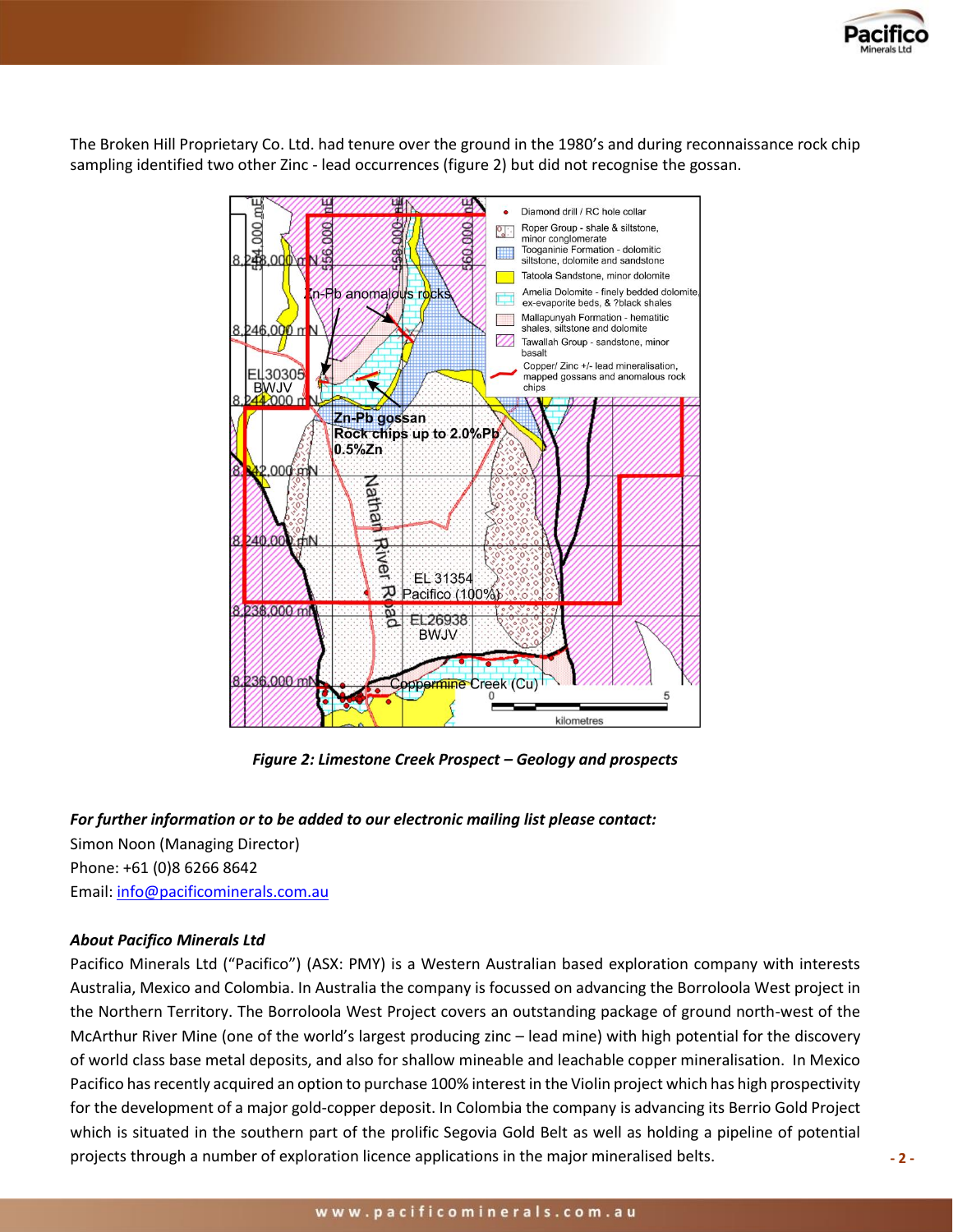

The Broken Hill Proprietary Co. Ltd. had tenure over the ground in the 1980's and during reconnaissance rock chip sampling identified two other Zinc - lead occurrences (figure 2) but did not recognise the gossan.



*Figure 2: Limestone Creek Prospect – Geology and prospects*

## *For further information or to be added to our electronic mailing list please contact:*

Simon Noon (Managing Director) Phone: +61 (0)8 6266 8642 Email: [info@pacificominerals.com.au](mailto:info@pacificominerals.com.au)

## *About Pacifico Minerals Ltd*

Pacifico Minerals Ltd ("Pacifico") (ASX: PMY) is a Western Australian based exploration company with interests Australia, Mexico and Colombia. In Australia the company is focussed on advancing the Borroloola West project in the Northern Territory. The Borroloola West Project covers an outstanding package of ground north-west of the McArthur River Mine (one of the world's largest producing zinc – lead mine) with high potential for the discovery of world class base metal deposits, and also for shallow mineable and leachable copper mineralisation. In Mexico Pacifico has recently acquired an option to purchase 100% interest in the Violin project which has high prospectivity for the development of a major gold-copper deposit. In Colombia the company is advancing its Berrio Gold Project which is situated in the southern part of the prolific Segovia Gold Belt as well as holding a pipeline of potential projects through a number of exploration licence applications in the major mineralised belts.